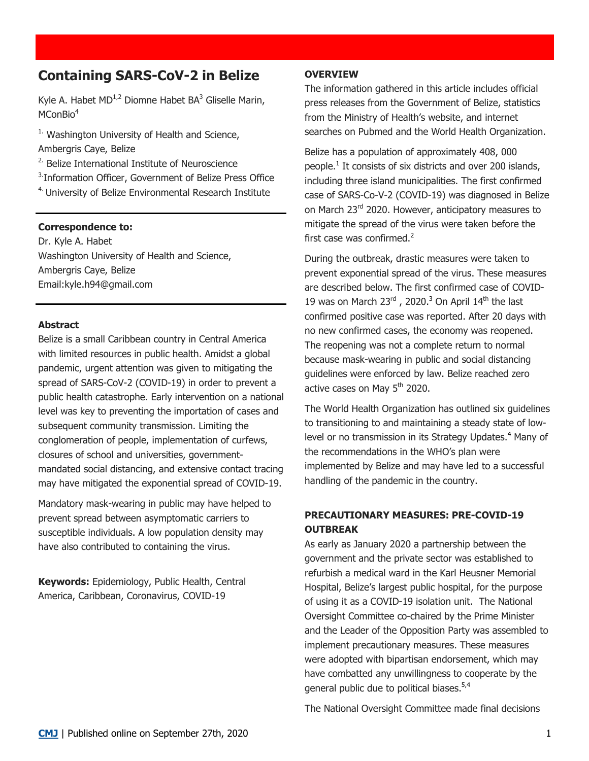# **Containing SARS-CoV-2 in Belize**

Kyle A. Habet  $MD^{1,2}$  Diomne Habet BA<sup>3</sup> Gliselle Marin, MConBio<sup>4</sup>

 $1.$  Washington University of Health and Science, Ambergris Caye, Belize

<sup>2.</sup> Belize International Institute of Neuroscience

<sup>3.</sup>Information Officer, Government of Belize Press Office

4. University of Belize Environmental Research Institute

#### **Correspondence to:**

Dr. Kyle A. Habet Washington University of Health and Science, Ambergris Caye, Belize Email:kyle.h94@gmail.com

#### **Abstract**

Belize is a small Caribbean country in Central America with limited resources in public health. Amidst a global pandemic, urgent attention was given to mitigating the spread of SARS-CoV-2 (COVID-19) in order to prevent a public health catastrophe. Early intervention on a national level was key to preventing the importation of cases and subsequent community transmission. Limiting the conglomeration of people, implementation of curfews, closures of school and universities, governmentmandated social distancing, and extensive contact tracing may have mitigated the exponential spread of COVID-19.

Mandatory mask-wearing in public may have helped to prevent spread between asymptomatic carriers to susceptible individuals. A low population density may have also contributed to containing the virus.

**Keywords:** Epidemiology, Public Health, Central America, Caribbean, Coronavirus, COVID-19

#### **OVERVIEW**

The information gathered in this article includes official press releases from the Government of Belize, statistics from the Ministry of Health's website, and internet searches on Pubmed and the World Health Organization.

Belize has a population of approximately 408, 000 people.<sup>1</sup> It consists of six districts and over 200 islands, including three island municipalities. The first confirmed case of SARS-Co-V-2 (COVID-19) was diagnosed in Belize on March 23<sup>rd</sup> 2020. However, anticipatory measures to mitigate the spread of the virus were taken before the first case was confirmed.<sup>2</sup>

During the outbreak, drastic measures were taken to prevent exponential spread of the virus. These measures are described below. The first confirmed case of COVID-19 was on March  $23^{\text{rd}}$ , 2020.<sup>3</sup> On April  $14^{\text{th}}$  the last confirmed positive case was reported. After 20 days with no new confirmed cases, the economy was reopened. The reopening was not a complete return to normal because mask-wearing in public and social distancing guidelines were enforced by law. Belize reached zero active cases on May 5<sup>th</sup> 2020.

The World Health Organization has outlined six guidelines to transitioning to and maintaining a steady state of lowlevel or no transmission in its Strategy Updates.<sup>4</sup> Many of the recommendations in the WHO's plan were implemented by Belize and may have led to a successful handling of the pandemic in the country.

# **PRECAUTIONARY MEASURES: PRE-COVID-19 OUTBREAK**

As early as January 2020 a partnership between the government and the private sector was established to refurbish a medical ward in the Karl Heusner Memorial Hospital, Belize's largest public hospital, for the purpose of using it as a COVID-19 isolation unit. The National Oversight Committee co-chaired by the Prime Minister and the Leader of the Opposition Party was assembled to implement precautionary measures. These measures were adopted with bipartisan endorsement, which may have combatted any unwillingness to cooperate by the general public due to political biases.<sup>5,4</sup>

The National Oversight Committee made final decisions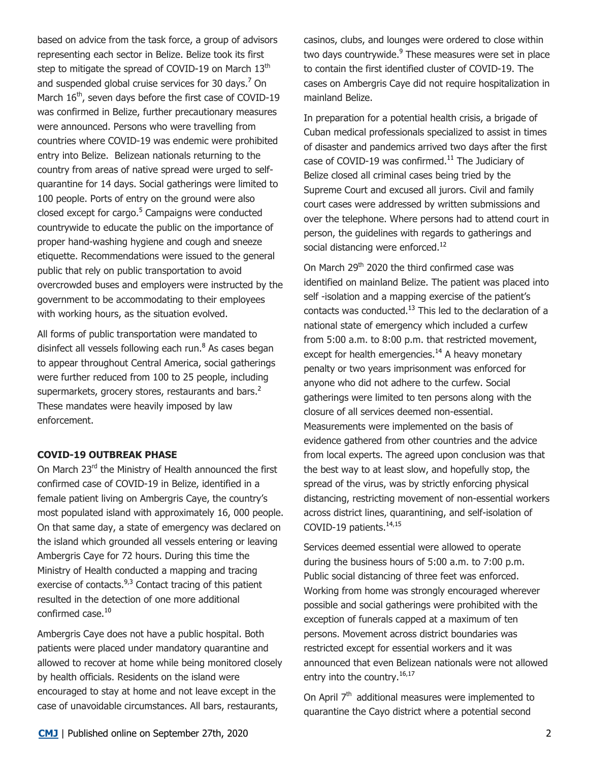based on advice from the task force, a group of advisors representing each sector in Belize. Belize took its first step to mitigate the spread of COVID-19 on March 13<sup>th</sup> and suspended global cruise services for 30 days.<sup>7</sup> On March 16<sup>th</sup>, seven days before the first case of COVID-19 was confirmed in Belize, further precautionary measures were announced. Persons who were travelling from countries where COVID-19 was endemic were prohibited entry into Belize. Belizean nationals returning to the country from areas of native spread were urged to selfquarantine for 14 days. Social gatherings were limited to 100 people. Ports of entry on the ground were also closed except for cargo.<sup>5</sup> Campaigns were conducted countrywide to educate the public on the importance of proper hand-washing hygiene and cough and sneeze etiquette. Recommendations were issued to the general public that rely on public transportation to avoid overcrowded buses and employers were instructed by the government to be accommodating to their employees with working hours, as the situation evolved.

All forms of public transportation were mandated to disinfect all vessels following each run.<sup>8</sup> As cases began to appear throughout Central America, social gatherings were further reduced from 100 to 25 people, including supermarkets, grocery stores, restaurants and bars.<sup>2</sup> These mandates were heavily imposed by law enforcement.

## **COVID-19 OUTBREAK PHASE**

On March 23<sup>rd</sup> the Ministry of Health announced the first confirmed case of COVID-19 in Belize, identified in a female patient living on Ambergris Caye, the country's most populated island with approximately 16, 000 people. On that same day, a state of emergency was declared on the island which grounded all vessels entering or leaving Ambergris Caye for 72 hours. During this time the Ministry of Health conducted a mapping and tracing exercise of contacts.<sup>9,3</sup> Contact tracing of this patient resulted in the detection of one more additional confirmed case.<sup>10</sup>

Ambergris Caye does not have a public hospital. Both patients were placed under mandatory quarantine and allowed to recover at home while being monitored closely by health officials. Residents on the island were encouraged to stay at home and not leave except in the case of unavoidable circumstances. All bars, restaurants,

casinos, clubs, and lounges were ordered to close within two days countrywide.<sup>9</sup> These measures were set in place to contain the first identified cluster of COVID-19. The cases on Ambergris Caye did not require hospitalization in mainland Belize.

In preparation for a potential health crisis, a brigade of Cuban medical professionals specialized to assist in times of disaster and pandemics arrived two days after the first case of COVID-19 was confirmed.<sup>11</sup> The Judiciary of Belize closed all criminal cases being tried by the Supreme Court and excused all jurors. Civil and family court cases were addressed by written submissions and over the telephone. Where persons had to attend court in person, the guidelines with regards to gatherings and social distancing were enforced.<sup>12</sup>

On March 29<sup>th</sup> 2020 the third confirmed case was identified on mainland Belize. The patient was placed into self -isolation and a mapping exercise of the patient's contacts was conducted.<sup>13</sup> This led to the declaration of a national state of emergency which included a curfew from 5:00 a.m. to 8:00 p.m. that restricted movement, except for health emergencies.<sup>14</sup> A heavy monetary penalty or two years imprisonment was enforced for anyone who did not adhere to the curfew. Social gatherings were limited to ten persons along with the closure of all services deemed non-essential. Measurements were implemented on the basis of evidence gathered from other countries and the advice from local experts. The agreed upon conclusion was that the best way to at least slow, and hopefully stop, the spread of the virus, was by strictly enforcing physical distancing, restricting movement of non-essential workers across district lines, quarantining, and self-isolation of COVID-19 patients.14,15

Services deemed essential were allowed to operate during the business hours of 5:00 a.m. to 7:00 p.m. Public social distancing of three feet was enforced. Working from home was strongly encouraged wherever possible and social gatherings were prohibited with the exception of funerals capped at a maximum of ten persons. Movement across district boundaries was restricted except for essential workers and it was announced that even Belizean nationals were not allowed entry into the country.<sup>16,17</sup>

On April  $7<sup>th</sup>$  additional measures were implemented to quarantine the Cayo district where a potential second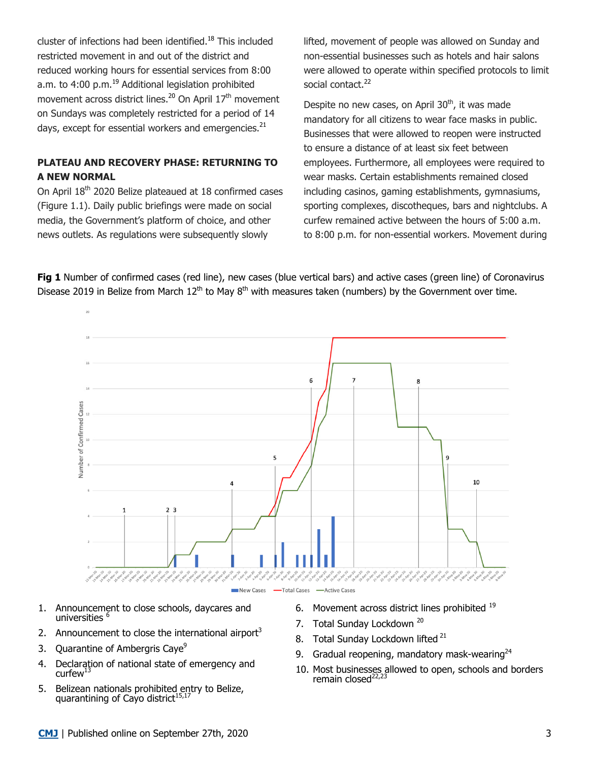cluster of infections had been identified.<sup>18</sup> This included restricted movement in and out of the district and reduced working hours for essential services from 8:00 a.m. to 4:00 p.m.<sup>19</sup> Additional legislation prohibited movement across district lines.<sup>20</sup> On April  $17<sup>th</sup>$  movement on Sundays was completely restricted for a period of 14 days, except for essential workers and emergencies.<sup>21</sup>

# **PLATEAU AND RECOVERY PHASE: RETURNING TO A NEW NORMAL**

On April 18<sup>th</sup> 2020 Belize plateaued at 18 confirmed cases (Figure 1.1). Daily public briefings were made on social media, the Government's platform of choice, and other news outlets. As regulations were subsequently slowly

lifted, movement of people was allowed on Sunday and non-essential businesses such as hotels and hair salons were allowed to operate within specified protocols to limit social contact.<sup>22</sup>

Despite no new cases, on April 30<sup>th</sup>, it was made mandatory for all citizens to wear face masks in public. Businesses that were allowed to reopen were instructed to ensure a distance of at least six feet between employees. Furthermore, all employees were required to wear masks. Certain establishments remained closed including casinos, gaming establishments, gymnasiums, sporting complexes, discotheques, bars and nightclubs. A curfew remained active between the hours of 5:00 a.m. to 8:00 p.m. for non-essential workers. Movement during

**Fig 1** Number of confirmed cases (red line), new cases (blue vertical bars) and active cases (green line) of Coronavirus Disease 2019 in Belize from March 12<sup>th</sup> to May 8<sup>th</sup> with measures taken (numbers) by the Government over time.



New Cases - Total Cases - Active Cases

- 1. Announcement to close schools, daycares and universities 6
- 2. Announcement to close the international airport<sup>3</sup>
- 3. Quarantine of Ambergris Caye<sup>9</sup>
- 4. Declaration of national state of emergency and curfew $^{13}$
- 5. Belizean nationals prohibited entry to Belize, quarantining of Cayo district<sup>15</sup>
- 6. Movement across district lines prohibited 19
- 7. Total Sunday Lockdown<sup>20</sup>
- 8. Total Sunday Lockdown lifted <sup>21</sup>
- 9. Gradual reopening, mandatory mask-wearing $^{24}$
- 10. Most businesses allowed to open, schools and borders remain closed<sup>22,23</sup>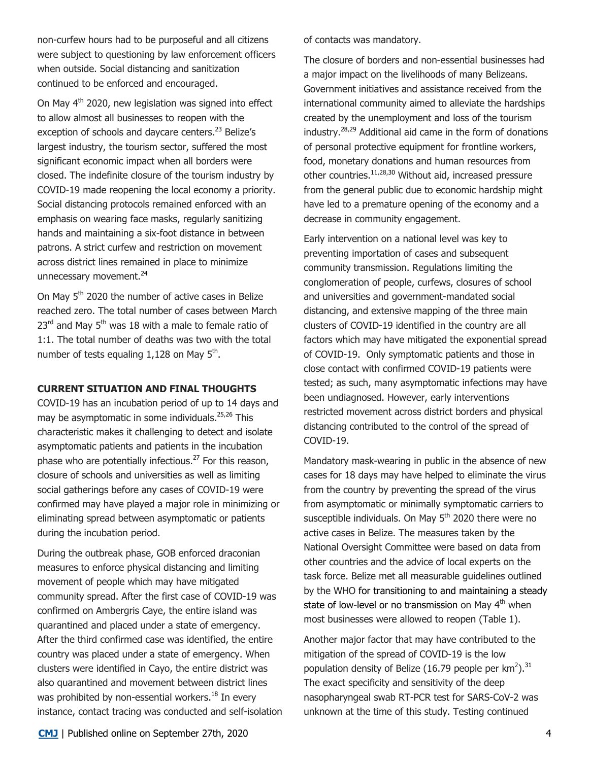non-curfew hours had to be purposeful and all citizens were subject to questioning by law enforcement officers when outside. Social distancing and sanitization continued to be enforced and encouraged.

On May 4<sup>th</sup> 2020, new legislation was signed into effect to allow almost all businesses to reopen with the exception of schools and daycare centers.<sup>23</sup> Belize's largest industry, the tourism sector, suffered the most significant economic impact when all borders were closed. The indefinite closure of the tourism industry by COVID-19 made reopening the local economy a priority. Social distancing protocols remained enforced with an emphasis on wearing face masks, regularly sanitizing hands and maintaining a six-foot distance in between patrons. A strict curfew and restriction on movement across district lines remained in place to minimize unnecessary movement.<sup>24</sup>

On May 5<sup>th</sup> 2020 the number of active cases in Belize reached zero. The total number of cases between March  $23<sup>rd</sup>$  and May  $5<sup>th</sup>$  was 18 with a male to female ratio of 1:1. The total number of deaths was two with the total number of tests equaling  $1,128$  on May  $5<sup>th</sup>$ .

#### **CURRENT SITUATION AND FINAL THOUGHTS**

COVID-19 has an incubation period of up to 14 days and may be asymptomatic in some individuals.<sup>25,26</sup> This characteristic makes it challenging to detect and isolate asymptomatic patients and patients in the incubation phase who are potentially infectious.<sup>27</sup> For this reason, closure of schools and universities as well as limiting social gatherings before any cases of COVID-19 were confirmed may have played a major role in minimizing or eliminating spread between asymptomatic or patients during the incubation period.

During the outbreak phase, GOB enforced draconian measures to enforce physical distancing and limiting movement of people which may have mitigated community spread. After the first case of COVID-19 was confirmed on Ambergris Caye, the entire island was quarantined and placed under a state of emergency. After the third confirmed case was identified, the entire country was placed under a state of emergency. When clusters were identified in Cayo, the entire district was also quarantined and movement between district lines was prohibited by non-essential workers. $^{18}$  In every instance, contact tracing was conducted and self-isolation of contacts was mandatory.

The closure of borders and non-essential businesses had a major impact on the livelihoods of many Belizeans. Government initiatives and assistance received from the international community aimed to alleviate the hardships created by the unemployment and loss of the tourism industry.28,29 Additional aid came in the form of donations of personal protective equipment for frontline workers, food, monetary donations and human resources from other countries.<sup>11,28,30</sup> Without aid, increased pressure from the general public due to economic hardship might have led to a premature opening of the economy and a decrease in community engagement.

Early intervention on a national level was key to preventing importation of cases and subsequent community transmission. Regulations limiting the conglomeration of people, curfews, closures of school and universities and government-mandated social distancing, and extensive mapping of the three main clusters of COVID-19 identified in the country are all factors which may have mitigated the exponential spread of COVID-19. Only symptomatic patients and those in close contact with confirmed COVID-19 patients were tested; as such, many asymptomatic infections may have been undiagnosed. However, early interventions restricted movement across district borders and physical distancing contributed to the control of the spread of COVID-19.

Mandatory mask-wearing in public in the absence of new cases for 18 days may have helped to eliminate the virus from the country by preventing the spread of the virus from asymptomatic or minimally symptomatic carriers to susceptible individuals. On May 5<sup>th</sup> 2020 there were no active cases in Belize. The measures taken by the National Oversight Committee were based on data from other countries and the advice of local experts on the task force. Belize met all measurable guidelines outlined by the WHO for transitioning to and maintaining a steady state of low-level or no transmission on May 4<sup>th</sup> when most businesses were allowed to reopen (Table 1).

Another major factor that may have contributed to the mitigation of the spread of COVID-19 is the low population density of Belize (16.79 people per  $km^2$ ).<sup>31</sup> The exact specificity and sensitivity of the deep nasopharyngeal swab RT-PCR test for SARS-CoV-2 was unknown at the time of this study. Testing continued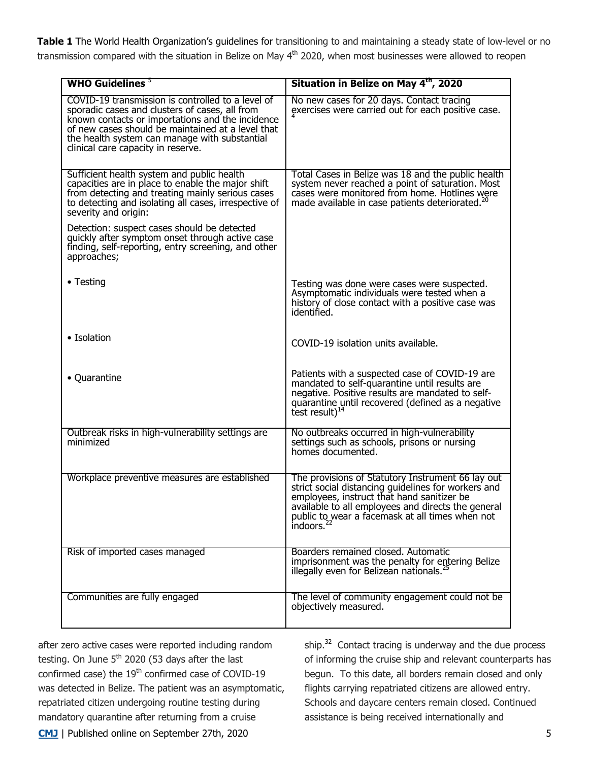**Table 1** The World Health Organization's guidelines for transitioning to and maintaining a steady state of low-level or no transmission compared with the situation in Belize on May 4<sup>th</sup> 2020, when most businesses were allowed to reopen

| WHO Guidelines $5$                                                                                                                                                                                                                                                                                  | Situation in Belize on May 4 <sup>th</sup> , 2020                                                                                                                                                                                                                                         |
|-----------------------------------------------------------------------------------------------------------------------------------------------------------------------------------------------------------------------------------------------------------------------------------------------------|-------------------------------------------------------------------------------------------------------------------------------------------------------------------------------------------------------------------------------------------------------------------------------------------|
| COVID-19 transmission is controlled to a level of<br>sporadic cases and clusters of cases, all from<br>known contacts or importations and the incidence<br>of new cases should be maintained at a level that<br>the health system can manage with substantial<br>clinical care capacity in reserve. | No new cases for 20 days. Contact tracing<br>exercises were carried out for each positive case.                                                                                                                                                                                           |
| Sufficient health system and public health<br>capacities are in place to enable the major shift<br>from detecting and treating mainly serious cases<br>to detecting and isolating all cases, irrespective of<br>severity and origin:                                                                | Total Cases in Belize was 18 and the public health<br>system never reached a point of saturation. Most<br>cases were monitored from home. Hotlines were<br>made available in case patients deteriorated. <sup>20</sup>                                                                    |
| Detection: suspect cases should be detected<br>quickly after symptom onset through active case<br>finding, self-reporting, entry screening, and other<br>approaches;                                                                                                                                |                                                                                                                                                                                                                                                                                           |
| • Testing                                                                                                                                                                                                                                                                                           | Testing was done were cases were suspected.<br>Asymptomatic individuals were tested when a<br>history of close contact with a positive case was<br>identified.                                                                                                                            |
| • Isolation                                                                                                                                                                                                                                                                                         | COVID-19 isolation units available.                                                                                                                                                                                                                                                       |
| • Quarantine                                                                                                                                                                                                                                                                                        | Patients with a suspected case of COVID-19 are<br>mandated to self-quarantine until results are<br>negative. Positive results are mandated to self-<br>quarantine until recovered (defined as a negative<br>test result) $^{14}$                                                          |
| Outbreak risks in high-vulnerability settings are<br>minimized                                                                                                                                                                                                                                      | No outbreaks occurred in high-vulnerability<br>settings such as schools, prisons or nursing<br>homes documented.                                                                                                                                                                          |
| Workplace preventive measures are established                                                                                                                                                                                                                                                       | The provisions of Statutory Instrument 66 lay out<br>strict social distancing guidelines for workers and<br>employees, instruct that hand sanitizer be<br>available to all employees and directs the general<br>public to wear a facemask at all times when not<br>indoors. <sup>22</sup> |
| Risk of imported cases managed                                                                                                                                                                                                                                                                      | Boarders remained closed. Automatic<br>imprisonment was the penalty for entering Belize<br>illegally even for Belizean nationals. <sup>25</sup>                                                                                                                                           |
| Communities are fully engaged                                                                                                                                                                                                                                                                       | The level of community engagement could not be<br>objectively measured.                                                                                                                                                                                                                   |

**CMJ** | Published online on September 27th, 2020 5 after zero active cases were reported including random testing. On June  $5<sup>th</sup>$  2020 (53 days after the last confirmed case) the  $19<sup>th</sup>$  confirmed case of COVID-19 was detected in Belize. The patient was an asymptomatic, repatriated citizen undergoing routine testing during mandatory quarantine after returning from a cruise

ship.<sup>32</sup> Contact tracing is underway and the due process of informing the cruise ship and relevant counterparts has begun. To this date, all borders remain closed and only flights carrying repatriated citizens are allowed entry. Schools and daycare centers remain closed. Continued assistance is being received internationally and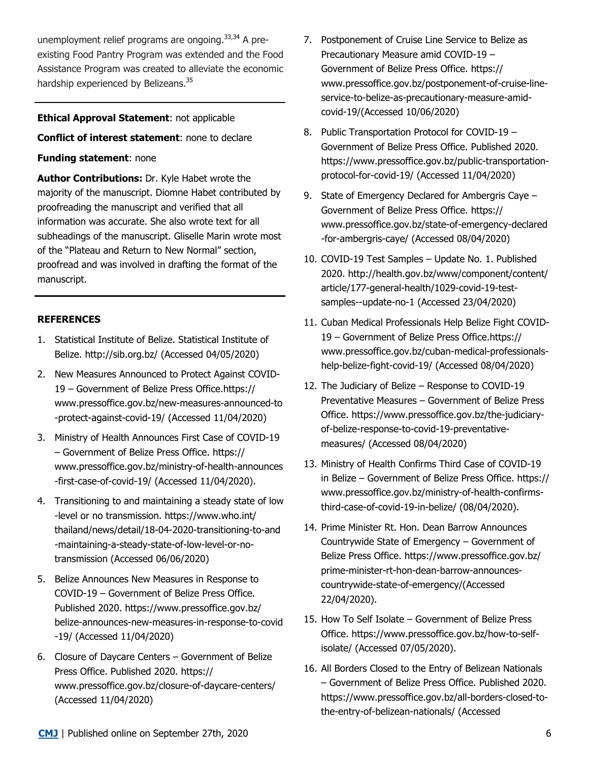unemployment relief programs are ongoing.<sup>33,34</sup> A preexisting Food Pantry Program was extended and the Food Assistance Program was created to alleviate the economic hardship experienced by Belizeans.<sup>35</sup>

## **Ethical Approval Statement**: not applicable

## **Conflict of interest statement**: none to declare

## **Funding statement**: none

**Author Contributions:** Dr. Kyle Habet wrote the majority of the manuscript. Diomne Habet contributed by proofreading the manuscript and verified that all information was accurate. She also wrote text for all subheadings of the manuscript. Gliselle Marin wrote most of the "Plateau and Return to New Normal" section, proofread and was involved in drafting the format of the manuscript.

# **REFERENCES**

- 1. Statistical Institute of Belize. Statistical Institute of Belize. http://sib.org.bz/ (Accessed 04/05/2020)
- 2. New Measures Announced to Protect Against COVID-19 – Government of Belize Press Office.https:// www.pressoffice.gov.bz/new-measures-announced-to -protect-against-covid-19/ (Accessed 11/04/2020)
- 3. Ministry of Health Announces First Case of COVID-19 – Government of Belize Press Office. https:// www.pressoffice.gov.bz/ministry-of-health-announces -first-case-of-covid-19/ (Accessed 11/04/2020).
- 4. Transitioning to and maintaining a steady state of low -level or no transmission. https://www.who.int/ thailand/news/detail/18-04-2020-transitioning-to-and -maintaining-a-steady-state-of-low-level-or-notransmission (Accessed 06/06/2020)
- 5. Belize Announces New Measures in Response to COVID-19 – Government of Belize Press Office. Published 2020. https://www.pressoffice.gov.bz/ belize-announces-new-measures-in-response-to-covid -19/ (Accessed 11/04/2020)
- 6. Closure of Daycare Centers Government of Belize Press Office. Published 2020. https:// www.pressoffice.gov.bz/closure-of-daycare-centers/ (Accessed 11/04/2020)
- 7. Postponement of Cruise Line Service to Belize as Precautionary Measure amid COVID-19 – Government of Belize Press Office. https:// www.pressoffice.gov.bz/postponement-of-cruise-lineservice-to-belize-as-precautionary-measure-amidcovid-19/(Accessed 10/06/2020)
- 8. Public Transportation Protocol for COVID-19 Government of Belize Press Office. Published 2020. https://www.pressoffice.gov.bz/public-transportationprotocol-for-covid-19/ (Accessed 11/04/2020)
- 9. State of Emergency Declared for Ambergris Caye Government of Belize Press Office. https:// www.pressoffice.gov.bz/state-of-emergency-declared -for-ambergris-caye/ (Accessed 08/04/2020)
- 10. COVID-19 Test Samples Update No. 1. Published 2020. http://health.gov.bz/www/component/content/ article/177-general-health/1029-covid-19-testsamples--update-no-1 (Accessed 23/04/2020)
- 11. Cuban Medical Professionals Help Belize Fight COVID-19 – Government of Belize Press Office.https:// www.pressoffice.gov.bz/cuban-medical-professionalshelp-belize-fight-covid-19/ (Accessed 08/04/2020)
- 12. The Judiciary of Belize Response to COVID-19 Preventative Measures – Government of Belize Press Office. https://www.pressoffice.gov.bz/the-judiciaryof-belize-response-to-covid-19-preventativemeasures/ (Accessed 08/04/2020)
- 13. Ministry of Health Confirms Third Case of COVID-19 in Belize – Government of Belize Press Office. https:// www.pressoffice.gov.bz/ministry-of-health-confirmsthird-case-of-covid-19-in-belize/ (08/04/2020).
- 14. Prime Minister Rt. Hon. Dean Barrow Announces Countrywide State of Emergency – Government of Belize Press Office. https://www.pressoffice.gov.bz/ prime-minister-rt-hon-dean-barrow-announcescountrywide-state-of-emergency/(Accessed 22/04/2020).
- 15. How To Self Isolate Government of Belize Press Office. https://www.pressoffice.gov.bz/how-to-selfisolate/ (Accessed 07/05/2020).
- 16. All Borders Closed to the Entry of Belizean Nationals – Government of Belize Press Office. Published 2020. https://www.pressoffice.gov.bz/all-borders-closed-tothe-entry-of-belizean-nationals/ (Accessed